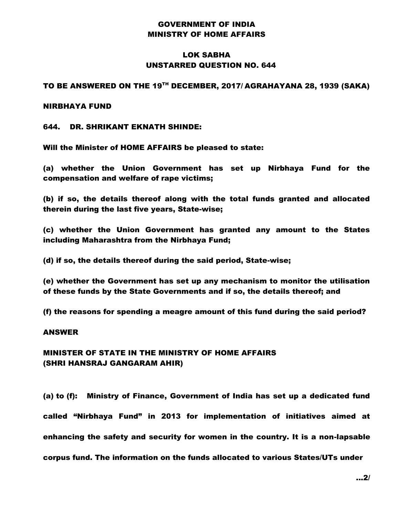# GOVERNMENT OF INDIA MINISTRY OF HOME AFFAIRS

# LOK SABHA UNSTARRED QUESTION NO. 644

## TO BE ANSWERED ON THE 19TH DECEMBER, 2017/ AGRAHAYANA 28, 1939 (SAKA)

### NIRBHAYA FUND

## 644. DR. SHRIKANT EKNATH SHINDE:

Will the Minister of HOME AFFAIRS be pleased to state:

(a) whether the Union Government has set up Nirbhaya Fund for the compensation and welfare of rape victims;

(b) if so, the details thereof along with the total funds granted and allocated therein during the last five years, State-wise;

(c) whether the Union Government has granted any amount to the States including Maharashtra from the Nirbhaya Fund;

(d) if so, the details thereof during the said period, State-wise;

(e) whether the Government has set up any mechanism to monitor the utilisation of these funds by the State Governments and if so, the details thereof; and

(f) the reasons for spending a meagre amount of this fund during the said period?

#### ANSWER

# MINISTER OF STATE IN THE MINISTRY OF HOME AFFAIRS (SHRI HANSRAJ GANGARAM AHIR)

(a) to (f): Ministry of Finance, Government of India has set up a dedicated fund called "Nirbhaya Fund" in 2013 for implementation of initiatives aimed at enhancing the safety and security for women in the country. It is a non-lapsable corpus fund. The information on the funds allocated to various States/UTs under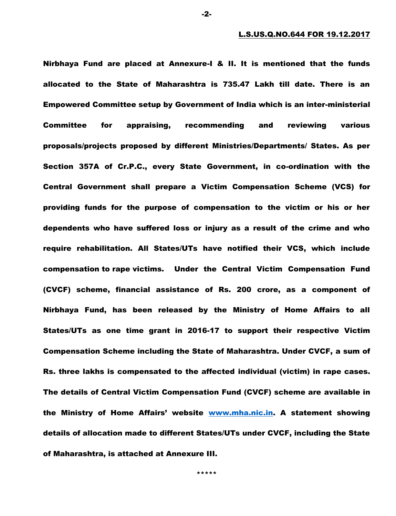Nirbhaya Fund are placed at Annexure-I & II. It is mentioned that the funds allocated to the State of Maharashtra is 735.47 Lakh till date. There is an Empowered Committee setup by Government of India which is an inter-ministerial Committee for appraising, recommending and reviewing various proposals/projects proposed by different Ministries/Departments/ States. As per Section 357A of Cr.P.C., every State Government, in co-ordination with the Central Government shall prepare a Victim Compensation Scheme (VCS) for providing funds for the purpose of compensation to the victim or his or her dependents who have suffered loss or injury as a result of the crime and who require rehabilitation. All States/UTs have notified their VCS, which include compensation to rape victims. Under the Central Victim Compensation Fund (CVCF) scheme, financial assistance of Rs. 200 crore, as a component of Nirbhaya Fund, has been released by the Ministry of Home Affairs to all States/UTs as one time grant in 2016-17 to support their respective Victim Compensation Scheme including the State of Maharashtra. Under CVCF, a sum of Rs. three lakhs is compensated to the affected individual (victim) in rape cases. The details of Central Victim Compensation Fund (CVCF) scheme are available in the Ministry of Home Affairs' website [www.mha.nic.in.](http://www.mha.nic.in/) A statement showing details of allocation made to different States/UTs under CVCF, including the State of Maharashtra, is attached at Annexure III.

-2-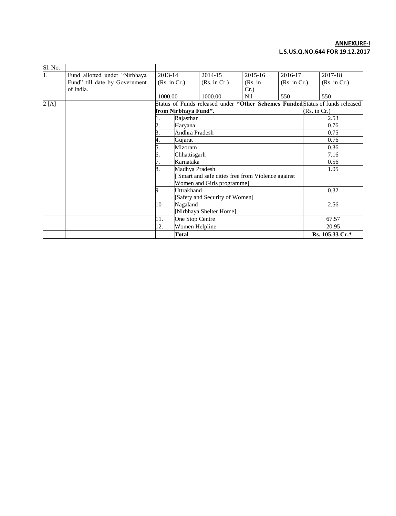#### **ANNEXURE-I L.S.US.Q.NO.644 FOR 19.12.2017**

| Sl. No. |                               |                                                                               |                                                  |                                |                  |              |              |                 |
|---------|-------------------------------|-------------------------------------------------------------------------------|--------------------------------------------------|--------------------------------|------------------|--------------|--------------|-----------------|
| 1.      | Fund allotted under "Nirbhaya | 2013-14                                                                       |                                                  | 2014-15                        | 2015-16          | 2016-17      |              | 2017-18         |
|         | Fund" till date by Government | (Rs. in Cr.)                                                                  |                                                  | (Rs. in Cr.)                   | (Rs. in          | (Rs. in Cr.) |              | (Rs. in Cr.)    |
|         | of India.                     |                                                                               |                                                  |                                | $Cr.$ )          |              |              |                 |
|         |                               | 1000.00                                                                       |                                                  | 1000.00                        | N <sub>i</sub> l | 550          |              | 550             |
| 2[A]    |                               | Status of Funds released under "Other Schemes Funded Status of funds released |                                                  |                                |                  |              |              |                 |
|         |                               |                                                                               | from Nirbhaya Fund".                             |                                |                  |              | (Rs. in Cr.) |                 |
|         |                               |                                                                               | Rajasthan                                        |                                |                  |              |              | 2.53            |
|         |                               |                                                                               | Haryana                                          |                                |                  |              | 0.76         |                 |
|         |                               |                                                                               | Andhra Pradesh                                   |                                |                  |              | 0.75         |                 |
|         |                               |                                                                               | Gujarat                                          |                                |                  |              | 0.76         |                 |
|         |                               | Mizoram<br>Chhattisgarh<br>b.<br>Karnataka                                    |                                                  |                                | 0.36             |              |              |                 |
|         |                               |                                                                               |                                                  |                                | 7.16             |              |              |                 |
|         |                               |                                                                               |                                                  |                                | 0.56             |              |              |                 |
|         |                               | 8.                                                                            | Madhya Pradesh                                   |                                |                  |              | 1.05         |                 |
|         |                               |                                                                               | Smart and safe cities free from Violence against |                                |                  |              |              |                 |
|         |                               |                                                                               |                                                  | Women and Girls programme]     |                  |              |              |                 |
|         |                               | 9                                                                             | <b>Uttrakhand</b>                                |                                |                  |              |              | 0.32            |
|         |                               |                                                                               |                                                  | [Safety and Security of Women] |                  |              |              |                 |
|         |                               | 10                                                                            | Nagaland                                         |                                |                  |              |              | 2.56            |
|         |                               |                                                                               | [Nirbhaya Shelter Home]                          |                                |                  |              |              |                 |
|         |                               | 11.                                                                           | One Stop Centre                                  |                                |                  |              | 67.57        |                 |
|         |                               | 12.                                                                           | Women Helpline                                   |                                |                  |              | 20.95        |                 |
|         |                               |                                                                               | <b>Total</b>                                     |                                |                  |              |              | Rs. 105.33 Cr.* |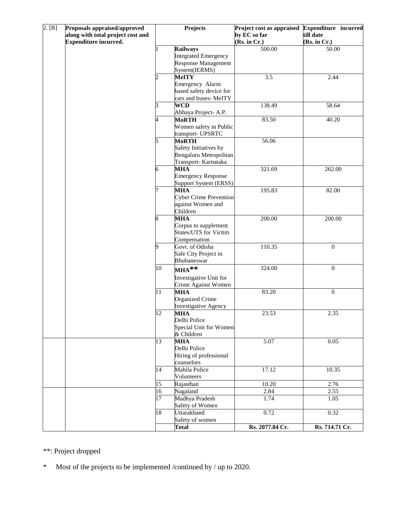| 2. [B] | Proposals appraised/approved<br>along with total project cost and<br><b>Expenditure incurred.</b> | Projects       |                                        | Project cost as appraised<br>by EC so far<br>(Rs. in Cr.) | Expenditure incurred<br>till date<br>(Rs. in Cr.) |  |
|--------|---------------------------------------------------------------------------------------------------|----------------|----------------------------------------|-----------------------------------------------------------|---------------------------------------------------|--|
|        |                                                                                                   |                | <b>Railways</b>                        | 500.00                                                    | 50.00                                             |  |
|        |                                                                                                   |                | <b>Integrated Emergency</b>            |                                                           |                                                   |  |
|        |                                                                                                   |                | <b>Response Management</b>             |                                                           |                                                   |  |
|        |                                                                                                   |                | System(IERMS)                          |                                                           |                                                   |  |
|        |                                                                                                   | $\overline{c}$ | <b>MeITY</b>                           | $\overline{3.5}$                                          | 2.44                                              |  |
|        |                                                                                                   |                | Emergency Alarm                        |                                                           |                                                   |  |
|        |                                                                                                   |                | based safety device for                |                                                           |                                                   |  |
|        |                                                                                                   |                | cars and buses-MeITY                   |                                                           |                                                   |  |
|        |                                                                                                   | 3              | <b>WCD</b>                             | 138.49                                                    | 58.64                                             |  |
|        |                                                                                                   |                | Abhaya Project-A.P.                    |                                                           |                                                   |  |
|        |                                                                                                   | 4              | <b>MoRTH</b>                           | 83.50                                                     | 40.20                                             |  |
|        |                                                                                                   |                | Women safety in Public                 |                                                           |                                                   |  |
|        |                                                                                                   |                | transport- UPSRTC                      |                                                           |                                                   |  |
|        |                                                                                                   | 5              | <b>MoRTH</b><br>Safety Initiatives by  | 56.06                                                     |                                                   |  |
|        |                                                                                                   |                | Bengaluru Metropolitan                 |                                                           |                                                   |  |
|        |                                                                                                   |                | Transport- Karnataka                   |                                                           |                                                   |  |
|        |                                                                                                   | 6              | <b>MHA</b>                             | 321.69                                                    | 262.00                                            |  |
|        |                                                                                                   |                | <b>Emergency Response</b>              |                                                           |                                                   |  |
|        |                                                                                                   |                | Support System (ERSS)                  |                                                           |                                                   |  |
|        |                                                                                                   |                | <b>MHA</b>                             | 195.83                                                    | 82.00                                             |  |
|        |                                                                                                   |                | <b>Cyber Crime Prevention</b>          |                                                           |                                                   |  |
|        |                                                                                                   |                | against Women and                      |                                                           |                                                   |  |
|        |                                                                                                   |                | Children                               |                                                           |                                                   |  |
|        |                                                                                                   |                | <b>MHA</b>                             | 200.00                                                    | 200.00                                            |  |
|        |                                                                                                   |                | Corpus to supplement                   |                                                           |                                                   |  |
|        |                                                                                                   |                | <b>States/UTS</b> for Victim           |                                                           |                                                   |  |
|        |                                                                                                   |                | Compensation                           |                                                           |                                                   |  |
|        |                                                                                                   | 9              | Govt. of Odisha                        | 110.35                                                    | $\boldsymbol{0}$                                  |  |
|        |                                                                                                   |                | Safe City Project in                   |                                                           |                                                   |  |
|        |                                                                                                   |                | Bhubaneswar                            |                                                           |                                                   |  |
|        |                                                                                                   | 10             | $MHA**$                                | 324.00                                                    | $\boldsymbol{0}$                                  |  |
|        |                                                                                                   |                | Investigative Unit for                 |                                                           |                                                   |  |
|        |                                                                                                   |                | Crime Against Women                    |                                                           |                                                   |  |
|        |                                                                                                   | 11             | <b>MHA</b>                             | 83.20                                                     | $\boldsymbol{0}$                                  |  |
|        |                                                                                                   |                | <b>Organized Crime</b>                 |                                                           |                                                   |  |
|        |                                                                                                   |                | <b>Investigative Agency</b>            |                                                           |                                                   |  |
|        |                                                                                                   | 12             | <b>MHA</b>                             | 23.53                                                     | 2.35                                              |  |
|        |                                                                                                   |                | Delhi Police<br>Special Unit for Women |                                                           |                                                   |  |
|        |                                                                                                   |                | & Children                             |                                                           |                                                   |  |
|        |                                                                                                   | 13             | <b>MHA</b>                             | 5.07                                                      | 0.05                                              |  |
|        |                                                                                                   |                | Delhi Police                           |                                                           |                                                   |  |
|        |                                                                                                   |                | Hiring of professional                 |                                                           |                                                   |  |
|        |                                                                                                   |                | counselors                             |                                                           |                                                   |  |
|        |                                                                                                   | 14             | Mahila Police                          | 17.12                                                     | 10.35                                             |  |
|        |                                                                                                   |                | Volunteers                             |                                                           |                                                   |  |
|        |                                                                                                   | 15             | Rajasthan                              | 10.20                                                     | 2.76                                              |  |
|        |                                                                                                   | 16             | Nagaland                               | 2.84                                                      | 2.55                                              |  |
|        |                                                                                                   | 17             | Madhya Pradesh                         | 1.74                                                      | 1.05                                              |  |
|        |                                                                                                   |                | Safety of Women                        |                                                           |                                                   |  |
|        |                                                                                                   | 18             | Uttarakhand                            | 0.72                                                      | 0.32                                              |  |
|        |                                                                                                   |                | Safety of women                        |                                                           |                                                   |  |
|        |                                                                                                   |                | <b>Total</b>                           | Rs. 2077.84 Cr.                                           | Rs. 714.71 Cr.                                    |  |

\*\*: Project dropped

\* Most of the projects to be implemented /continued by / up to 2020.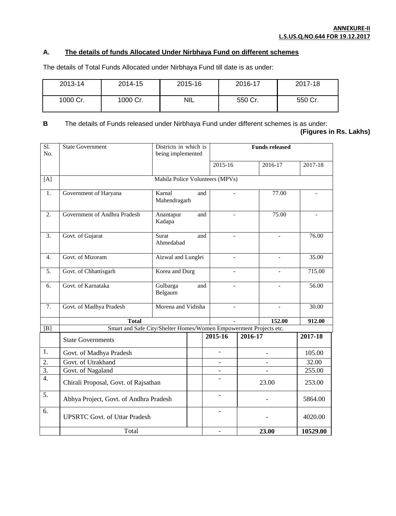## **A. The details of funds Allocated Under Nirbhaya Fund on different schemes**

The details of Total Funds Allocated under Nirbhaya Fund till date is as under:

| 2013-14  | 2014-15  | 2015-16    | 2016-17 | 2017-18 |
|----------|----------|------------|---------|---------|
| 1000 Cr. | 1000 Cr. | <b>NIL</b> | 550 Cr. | 550 Cr. |

**B** The details of Funds released under Nirbhaya Fund under different schemes is as under:

**(Figures in Rs. Lakhs)**

| $\overline{SI}$ .<br>No. | Districts in which is<br><b>State Government</b><br>being implemented |                               |  |                                 | <b>Funds released</b> |                |          |
|--------------------------|-----------------------------------------------------------------------|-------------------------------|--|---------------------------------|-----------------------|----------------|----------|
|                          |                                                                       |                               |  | 2015-16                         |                       | 2016-17        | 2017-18  |
|                          |                                                                       |                               |  |                                 |                       |                |          |
| [A]                      |                                                                       |                               |  | Mahila Police Volunteers (MPVs) |                       |                |          |
| 1.                       | Government of Haryana                                                 | Karnal<br>and<br>Mahendragarh |  |                                 |                       | 77.00          |          |
| 2.                       | Government of Andhra Pradesh                                          | Anantapur<br>and<br>Kadapa    |  | ÷,                              |                       | 75.00          |          |
| 3.                       | Govt. of Gujarat                                                      | Surat<br>and<br>Ahmedabad     |  |                                 |                       |                | 76.00    |
| 4.                       | Govt. of Mizoram                                                      | Aizwal and Lunglei            |  | $\blacksquare$                  |                       | L.             | 35.00    |
| 5.                       | Govt. of Chhattisgarh                                                 | Korea and Durg                |  |                                 |                       |                | 715.00   |
| 6.                       | Govt. of Karnataka                                                    | Gulbarga<br>and<br>Belgaum    |  | ÷,                              |                       | $\overline{a}$ | 56.00    |
| 7.                       | Govt. of Madhya Pradesh                                               | Morena and Vidisha            |  |                                 |                       |                | 30.00    |
|                          | <b>Total</b>                                                          |                               |  |                                 |                       | 152.00         | 912.00   |
| [B]                      | Smart and Safe City/Shelter Homes/Women Empowerment Projects etc.     |                               |  |                                 |                       |                |          |
|                          | <b>State Governments</b>                                              |                               |  | 2015-16                         | 2016-17               |                | 2017-18  |
| 1.                       | Govt. of Madhya Pradesh                                               |                               |  |                                 |                       |                | 105.00   |
| $\overline{2}$ .         | Govt. of Utrakhand                                                    |                               |  |                                 |                       |                | 32.00    |
| $\overline{3}$ .         | Govt. of Nagaland                                                     |                               |  |                                 |                       |                | 255.00   |
| 4.                       | Chirali Proposal, Govt. of Rajsathan                                  |                               |  |                                 | 23.00                 |                | 253.00   |
| 5.                       | Abhya Project, Govt. of Andhra Pradesh                                |                               |  | $\overline{a}$                  |                       |                | 5864.00  |
| 6.                       | <b>UPSRTC Govt. of Uttar Pradesh</b>                                  |                               |  |                                 |                       |                | 4020.00  |
|                          | Total                                                                 |                               |  |                                 |                       | 23.00          | 10529.00 |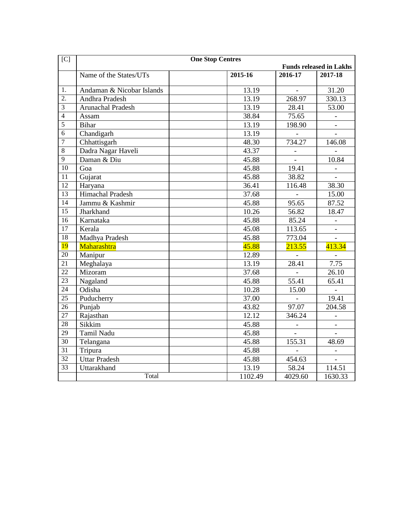| [C]            | <b>One Stop Centres</b><br><b>Funds released in Lakhs</b> |         |         |         |
|----------------|-----------------------------------------------------------|---------|---------|---------|
|                | Name of the States/UTs                                    | 2015-16 | 2016-17 | 2017-18 |
| 1.             | Andaman & Nicobar Islands                                 | 13.19   |         | 31.20   |
| 2.             | Andhra Pradesh                                            | 13.19   | 268.97  | 330.13  |
| 3              | <b>Arunachal Pradesh</b>                                  | 13.19   | 28.41   | 53.00   |
| $\overline{4}$ | Assam                                                     | 38.84   | 75.65   |         |
| 5              | <b>Bihar</b>                                              | 13.19   | 198.90  |         |
| $\overline{6}$ | Chandigarh                                                | 13.19   |         |         |
| $\overline{7}$ | Chhattisgarh                                              | 48.30   | 734.27  | 146.08  |
| $\overline{8}$ | Dadra Nagar Haveli                                        | 43.37   |         |         |
| 9              | Daman & Diu                                               | 45.88   |         | 10.84   |
| 10             | Goa                                                       | 45.88   | 19.41   |         |
| 11             | Gujarat                                                   | 45.88   | 38.82   |         |
| 12             | Haryana                                                   | 36.41   | 116.48  | 38.30   |
| 13             | Himachal Pradesh                                          | 37.68   |         | 15.00   |
| 14             | Jammu & Kashmir                                           | 45.88   | 95.65   | 87.52   |
| 15             | Jharkhand                                                 | 10.26   | 56.82   | 18.47   |
| 16             | Karnataka                                                 | 45.88   | 85.24   |         |
| 17             | Kerala                                                    | 45.08   | 113.65  |         |
| 18             | Madhya Pradesh                                            | 45.88   | 773.04  |         |
| <b>19</b>      | <b>Maharashtra</b>                                        | 45.88   | 213.55  | 413.34  |
| 20             | Manipur                                                   | 12.89   |         |         |
| 21             | Meghalaya                                                 | 13.19   | 28.41   | 7.75    |
| 22             | Mizoram                                                   | 37.68   |         | 26.10   |
| 23             | Nagaland                                                  | 45.88   | 55.41   | 65.41   |
| 24             | Odisha                                                    | 10.28   | 15.00   |         |
| 25             | Puducherry                                                | 37.00   |         | 19.41   |
| 26             | Punjab                                                    | 43.82   | 97.07   | 204.58  |
| 27             | Rajasthan                                                 | 12.12   | 346.24  |         |
| 28             | Sikkim                                                    | 45.88   |         |         |
| 29             | Tamil Nadu                                                | 45.88   |         |         |
| 30             | Telangana                                                 | 45.88   | 155.31  | 48.69   |
| 31             | Tripura                                                   | 45.88   |         |         |
| 32             | <b>Uttar Pradesh</b>                                      | 45.88   | 454.63  |         |
| 33             | Uttarakhand                                               | 13.19   | 58.24   | 114.51  |
|                | Total                                                     | 1102.49 | 4029.60 | 1630.33 |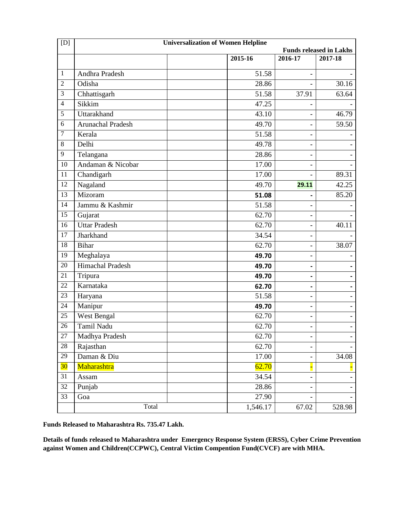| [D]             | <b>Universalization of Women Helpline</b> |          |                |         |  |
|-----------------|-------------------------------------------|----------|----------------|---------|--|
|                 | <b>Funds released in Lakhs</b>            |          |                |         |  |
|                 |                                           | 2015-16  | 2016-17        | 2017-18 |  |
| $\mathbf{1}$    | Andhra Pradesh                            | 51.58    |                |         |  |
| $\overline{2}$  | Odisha                                    | 28.86    |                | 30.16   |  |
| 3               | Chhattisgarh                              | 51.58    | 37.91          | 63.64   |  |
| $\overline{4}$  | Sikkim                                    | 47.25    |                |         |  |
| 5               | Uttarakhand                               | 43.10    |                | 46.79   |  |
| 6               | Arunachal Pradesh                         | 49.70    |                | 59.50   |  |
| $\overline{7}$  | Kerala                                    | 51.58    |                |         |  |
| 8               | Delhi                                     | 49.78    |                |         |  |
| 9               | Telangana                                 | 28.86    | $\overline{a}$ |         |  |
| $\overline{10}$ | Andaman & Nicobar                         | 17.00    |                |         |  |
| 11              | Chandigarh                                | 17.00    |                | 89.31   |  |
| 12              | Nagaland                                  | 49.70    | 29.11          | 42.25   |  |
| 13              | Mizoram                                   | 51.08    |                | 85.20   |  |
| 14              | Jammu & Kashmir                           | 51.58    | $\overline{a}$ |         |  |
| 15              | Gujarat                                   | 62.70    |                |         |  |
| 16              | <b>Uttar Pradesh</b>                      | 62.70    |                | 40.11   |  |
| 17              | Jharkhand                                 | 34.54    |                |         |  |
| 18              | <b>Bihar</b>                              | 62.70    | $\overline{a}$ | 38.07   |  |
| 19              | Meghalaya                                 | 49.70    | $\overline{a}$ |         |  |
| 20              | Himachal Pradesh                          | 49.70    | ۰              |         |  |
| 21              | Tripura                                   | 49.70    |                |         |  |
| 22              | Karnataka                                 | 62.70    | $\blacksquare$ |         |  |
| 23              | Haryana                                   | 51.58    |                |         |  |
| 24              | Manipur                                   | 49.70    |                |         |  |
| 25              | West Bengal                               | 62.70    |                |         |  |
| 26              | Tamil Nadu                                | 62.70    |                |         |  |
| $27\,$          | Madhya Pradesh                            | 62.70    |                |         |  |
| 28              | Rajasthan                                 | 62.70    |                |         |  |
| $\overline{29}$ | Daman & Diu                               | 17.00    |                | 34.08   |  |
| 30              | Maharashtra                               | 62.70    |                |         |  |
| 31              | Assam                                     | 34.54    |                |         |  |
| 32              | Punjab                                    | 28.86    |                |         |  |
| $\overline{33}$ | Goa                                       | 27.90    |                |         |  |
|                 | Total                                     | 1,546.17 | 67.02          | 528.98  |  |

**Funds Released to Maharashtra Rs. 735.47 Lakh.** 

**Details of funds released to Maharashtra under Emergency Response System (ERSS), Cyber Crime Prevention against Women and Children(CCPWC), Central Victim Compention Fund(CVCF) are with MHA.**